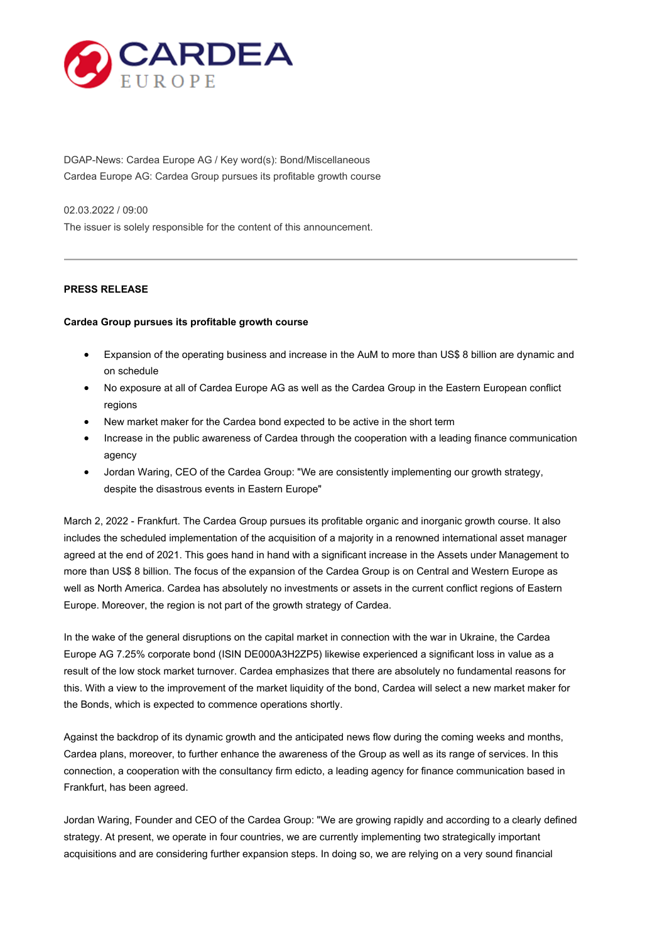

DGAP-News: Cardea Europe AG / Key word(s): Bond/Miscellaneous Cardea Europe AG: Cardea Group pursues its profitable growth course

02.03.2022 / 09:00

The issuer is solely responsible for the content of this announcement.

# **PRESS RELEASE**

### **Cardea Group pursues its profitable growth course**

- Expansion of the operating business and increase in the AuM to more than US\$ 8 billion are dynamic and on schedule
- No exposure at all of Cardea Europe AG as well as the Cardea Group in the Eastern European conflict regions
- New market maker for the Cardea bond expected to be active in the short term
- Increase in the public awareness of Cardea through the cooperation with a leading finance communication agency
- Jordan Waring, CEO of the Cardea Group: "We are consistently implementing our growth strategy, despite the disastrous events in Eastern Europe"

March 2, 2022 - Frankfurt. The Cardea Group pursues its profitable organic and inorganic growth course. It also includes the scheduled implementation of the acquisition of a majority in a renowned international asset manager agreed at the end of 2021. This goes hand in hand with a significant increase in the Assets under Management to more than US\$ 8 billion. The focus of the expansion of the Cardea Group is on Central and Western Europe as well as North America. Cardea has absolutely no investments or assets in the current conflict regions of Eastern Europe. Moreover, the region is not part of the growth strategy of Cardea.

In the wake of the general disruptions on the capital market in connection with the war in Ukraine, the Cardea Europe AG 7.25% corporate bond (ISIN DE000A3H2ZP5) likewise experienced a significant loss in value as a result of the low stock market turnover. Cardea emphasizes that there are absolutely no fundamental reasons for this. With a view to the improvement of the market liquidity of the bond, Cardea will select a new market maker for the Bonds, which is expected to commence operations shortly.

Against the backdrop of its dynamic growth and the anticipated news flow during the coming weeks and months, Cardea plans, moreover, to further enhance the awareness of the Group as well as its range of services. In this connection, a cooperation with the consultancy firm edicto, a leading agency for finance communication based in Frankfurt, has been agreed.

Jordan Waring, Founder and CEO of the Cardea Group: "We are growing rapidly and according to a clearly defined strategy. At present, we operate in four countries, we are currently implementing two strategically important acquisitions and are considering further expansion steps. In doing so, we are relying on a very sound financial